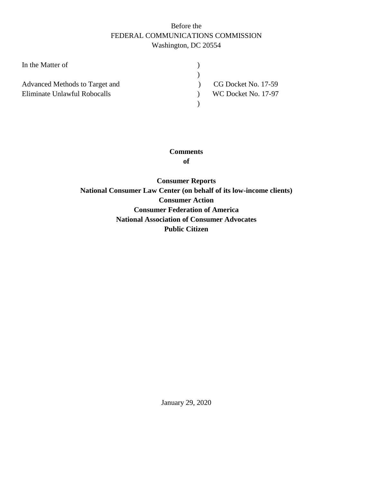## Before the FEDERAL COMMUNICATIONS COMMISSION Washington, DC 20554

| In the Matter of               |                     |
|--------------------------------|---------------------|
|                                |                     |
| Advanced Methods to Target and | CG Docket No. 17-59 |
| Eliminate Unlawful Robocalls   | WC Docket No. 17-97 |
|                                |                     |
|                                |                     |

# **Comments**

**of**

**Consumer Reports National Consumer Law Center (on behalf of its low-income clients) Consumer Action Consumer Federation of America National Association of Consumer Advocates Public Citizen**

January 29, 2020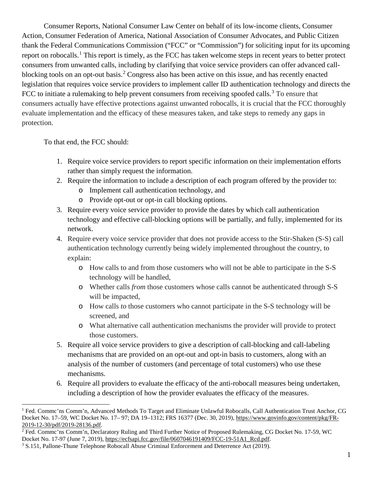Consumer Reports, National Consumer Law Center on behalf of its low-income clients, Consumer Action, Consumer Federation of America, National Association of Consumer Advocates, and Public Citizen thank the Federal Communications Commission ("FCC" or "Commission") for soliciting input for its upcoming report on robocalls.<sup>[1](#page-1-0)</sup> This report is timely, as the FCC has taken welcome steps in recent years to better protect consumers from unwanted calls, including by clarifying that voice service providers can offer advanced call-blocking tools on an opt-out basis.<sup>[2](#page-1-1)</sup> Congress also has been active on this issue, and has recently enacted legislation that requires voice service providers to implement caller ID authentication technology and directs the FCC to initiate a rulemaking to help prevent consumers from receiving spoofed calls.<sup>[3](#page-1-2)</sup> To ensure that consumers actually have effective protections against unwanted robocalls, it is crucial that the FCC thoroughly evaluate implementation and the efficacy of these measures taken, and take steps to remedy any gaps in protection.

To that end, the FCC should:

- 1. Require voice service providers to report specific information on their implementation efforts rather than simply request the information.
- 2. Require the information to include a description of each program offered by the provider to:
	- o Implement call authentication technology, and
	- o Provide opt-out or opt-in call blocking options.
- 3. Require every voice service provider to provide the dates by which call authentication technology and effective call-blocking options will be partially, and fully, implemented for its network.
- 4. Require every voice service provider that does not provide access to the Stir-Shaken (S-S) call authentication technology currently being widely implemented throughout the country, to explain:
	- o How calls to and from those customers who will not be able to participate in the S-S technology will be handled,
	- o Whether calls *from* those customers whose calls cannot be authenticated through S-S will be impacted,
	- o How calls *to* those customers who cannot participate in the S-S technology will be screened, and
	- o What alternative call authentication mechanisms the provider will provide to protect those customers.
- 5. Require all voice service providers to give a description of call-blocking and call-labeling mechanisms that are provided on an opt-out and opt-in basis to customers, along with an analysis of the number of customers (and percentage of total customers) who use these mechanisms.
- 6. Require all providers to evaluate the efficacy of the anti-robocall measures being undertaken, including a description of how the provider evaluates the efficacy of the measures.

<span id="page-1-0"></span> $\overline{a}$ <sup>1</sup> Fed. Commc'ns Comm'n, Advanced Methods To Target and Eliminate Unlawful Robocalls, Call Authentication Trust Anchor, CG Docket No. 17–59, WC Docket No. 17– 97; DA 19–1312; FRS 16377 (Dec. 30, 2019)[, https://www.govinfo.gov/content/pkg/FR-](https://www.govinfo.gov/content/pkg/FR-2019-12-30/pdf/2019-28136.pdf)[2019-12-30/pdf/2019-28136.pdf.](https://www.govinfo.gov/content/pkg/FR-2019-12-30/pdf/2019-28136.pdf)

<span id="page-1-1"></span><sup>&</sup>lt;sup>2</sup> Fed. Commc'ns Comm'n, Declaratory Ruling and Third Further Notice of Proposed Rulemaking, CG Docket No. 17-59, WC Docket No. 17-97 (June 7, 2019), [https://ecfsapi.fcc.gov/file/0607046191409/FCC-19-51A1\\_Rcd.pdf.](https://ecfsapi.fcc.gov/file/0607046191409/FCC-19-51A1_Rcd.pdf)

<span id="page-1-2"></span><sup>3</sup> S.151, Pallone-Thune Telephone Robocall Abuse Criminal Enforcement and Deterrence Act (2019).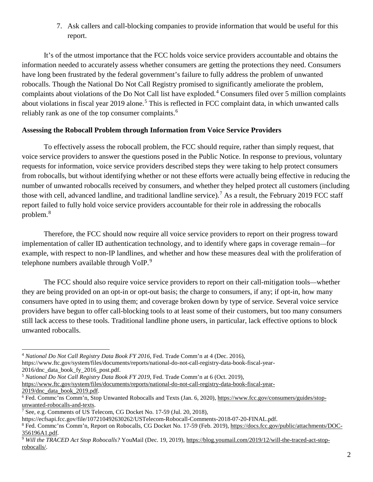7. Ask callers and call-blocking companies to provide information that would be useful for this report.

It's of the utmost importance that the FCC holds voice service providers accountable and obtains the information needed to accurately assess whether consumers are getting the protections they need. Consumers have long been frustrated by the federal government's failure to fully address the problem of unwanted robocalls. Though the National Do Not Call Registry promised to significantly ameliorate the problem, complaints about violations of the Do Not Call list have exploded.[4](#page-2-0) Consumers filed over 5 million complaints about violations in fiscal year 2019 alone.<sup>[5](#page-2-1)</sup> This is reflected in FCC complaint data, in which unwanted calls reliably rank as one of the top consumer complaints.<sup>[6](#page-2-2)</sup>

#### **Assessing the Robocall Problem through Information from Voice Service Providers**

To effectively assess the robocall problem, the FCC should require, rather than simply request, that voice service providers to answer the questions posed in the Public Notice. In response to previous, voluntary requests for information, voice service providers described steps they were taking to help protect consumers from robocalls, but without identifying whether or not these efforts were actually being effective in reducing the number of unwanted robocalls received by consumers, and whether they helped protect all customers (including those with cell, advanced landline, and traditional landline service).<sup>[7](#page-2-3)</sup> As a result, the February 2019 FCC staff report failed to fully hold voice service providers accountable for their role in addressing the robocalls problem.[8](#page-2-4)

Therefore, the FCC should now require all voice service providers to report on their progress toward implementation of caller ID authentication technology, and to identify where gaps in coverage remain—for example, with respect to non-IP landlines, and whether and how these measures deal with the proliferation of telephone numbers available through VoIP.<sup>[9](#page-2-5)</sup>

The FCC should also require voice service providers to report on their call-mitigation tools—whether they are being provided on an opt-in or opt-out basis; the charge to consumers, if any; if opt-in, how many consumers have opted in to using them; and coverage broken down by type of service. Several voice service providers have begun to offer call-blocking tools to at least some of their customers, but too many consumers still lack access to these tools. Traditional landline phone users, in particular, lack effective options to block unwanted robocalls.

<span id="page-2-1"></span><sup>5</sup> *National Do Not Call Registry Data Book FY 2019*, Fed. Trade Comm'n at 6 (Oct. 2019),

<span id="page-2-0"></span> $\overline{a}$ <sup>4</sup> *National Do Not Call Registry Data Book FY 2016*, Fed. Trade Comm'n at 4 (Dec. 2016),

https://www.ftc.gov/system/files/documents/reports/national-do-not-call-registry-data-book-fiscal-year-2016/dnc\_data\_book\_fy\_2016\_post.pdf.

[https://www.ftc.gov/system/files/documents/reports/national-do-not-call-registry-data-book-fiscal-year-](https://www.ftc.gov/system/files/documents/reports/national-do-not-call-registry-data-book-fiscal-year-2019/dnc_data_book_2019.pdf)[2019/dnc\\_data\\_book\\_2019.pdf.](https://www.ftc.gov/system/files/documents/reports/national-do-not-call-registry-data-book-fiscal-year-2019/dnc_data_book_2019.pdf)

<span id="page-2-2"></span><sup>&</sup>lt;sup>6</sup> Fed. Commc'ns Comm'n, Stop Unwanted Robocalls and Texts (Jan. 6, 2020), [https://www.fcc.gov/consumers/guides/stop](https://www.fcc.gov/consumers/guides/stop-unwanted-robocalls-and-texts)[unwanted-robocalls-and-texts.](https://www.fcc.gov/consumers/guides/stop-unwanted-robocalls-and-texts)

<span id="page-2-3"></span><sup>&</sup>lt;sup>7</sup> See, e.g. Comments of US Telecom, CG Docket No. 17-59 (Jul. 20, 2018),

https://ecfsapi.fcc.gov/file/107210492630262/USTelecom-Robocall-Comments-2018-07-20-FINAL.pdf.

<span id="page-2-4"></span><sup>8</sup> Fed. Commc'ns Comm'n, Report on Robocalls, CG Docket No. 17-59 (Feb. 2019)[, https://docs.fcc.gov/public/attachments/DOC-](https://docs.fcc.gov/public/attachments/DOC-356196A1.pdf)[356196A1.pdf.](https://docs.fcc.gov/public/attachments/DOC-356196A1.pdf)

<span id="page-2-5"></span><sup>&</sup>lt;sup>9</sup> Will the TRACED Act Stop Robocalls? YouMail (Dec. 19, 2019), [https://blog.youmail.com/2019/12/will-the-traced-act-stop](https://blog.youmail.com/2019/12/will-the-traced-act-stop-robocalls/)[robocalls/.](https://blog.youmail.com/2019/12/will-the-traced-act-stop-robocalls/)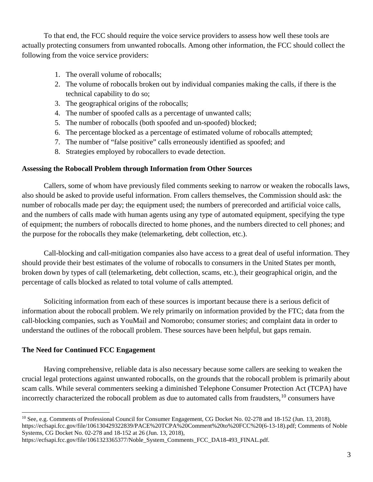To that end, the FCC should require the voice service providers to assess how well these tools are actually protecting consumers from unwanted robocalls. Among other information, the FCC should collect the following from the voice service providers:

- 1. The overall volume of robocalls;
- 2. The volume of robocalls broken out by individual companies making the calls, if there is the technical capability to do so;
- 3. The geographical origins of the robocalls;
- 4. The number of spoofed calls as a percentage of unwanted calls;
- 5. The number of robocalls (both spoofed and un-spoofed) blocked;
- 6. The percentage blocked as a percentage of estimated volume of robocalls attempted;
- 7. The number of "false positive" calls erroneously identified as spoofed; and
- 8. Strategies employed by robocallers to evade detection.

#### **Assessing the Robocall Problem through Information from Other Sources**

Callers, some of whom have previously filed comments seeking to narrow or weaken the robocalls laws, also should be asked to provide useful information. From callers themselves, the Commission should ask: the number of robocalls made per day; the equipment used; the numbers of prerecorded and artificial voice calls, and the numbers of calls made with human agents using any type of automated equipment, specifying the type of equipment; the numbers of robocalls directed to home phones, and the numbers directed to cell phones; and the purpose for the robocalls they make (telemarketing, debt collection, etc.).

Call-blocking and call-mitigation companies also have access to a great deal of useful information. They should provide their best estimates of the volume of robocalls to consumers in the United States per month, broken down by types of call (telemarketing, debt collection, scams, etc.), their geographical origin, and the percentage of calls blocked as related to total volume of calls attempted.

Soliciting information from each of these sources is important because there is a serious deficit of information about the robocall problem. We rely primarily on information provided by the FTC; data from the call-blocking companies, such as YouMail and Nomorobo; consumer stories; and complaint data in order to understand the outlines of the robocall problem. These sources have been helpful, but gaps remain.

### **The Need for Continued FCC Engagement**

Having comprehensive, reliable data is also necessary because some callers are seeking to weaken the crucial legal protections against unwanted robocalls, on the grounds that the robocall problem is primarily about scam calls. While several commenters seeking a diminished Telephone Consumer Protection Act (TCPA) have incorrectly characterized the robocall problem as due to automated calls from fraudsters,<sup>[10](#page-3-0)</sup> consumers have

https://ecfsapi.fcc.gov/file/1061323365377/Noble\_System\_Comments\_FCC\_DA18-493\_FINAL.pdf.

<span id="page-3-0"></span> $\overline{a}$ <sup>10</sup> See, e.g. Comments of Professional Council for Consumer Engagement, CG Docket No. 02-278 and 18-152 (Jun. 13, 2018), https://ecfsapi.fcc.gov/file/106130429322839/PACE%20TCPA%20Comment%20to%20FCC%20(6-13-18).pdf; Comments of Noble Systems, CG Docket No. 02-278 and 18-152 at 26 (Jun. 13, 2018),